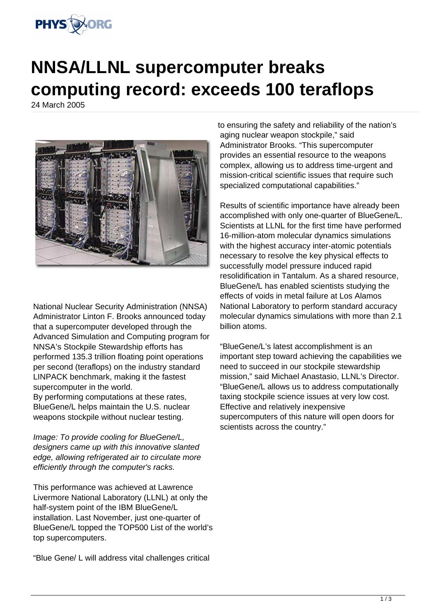

## **NNSA/LLNL supercomputer breaks computing record: exceeds 100 teraflops**

24 March 2005



National Nuclear Security Administration (NNSA) Administrator Linton F. Brooks announced today that a supercomputer developed through the Advanced Simulation and Computing program for NNSA's Stockpile Stewardship efforts has performed 135.3 trillion floating point operations per second (teraflops) on the industry standard LINPACK benchmark, making it the fastest supercomputer in the world.

By performing computations at these rates, BlueGene/L helps maintain the U.S. nuclear weapons stockpile without nuclear testing.

Image: To provide cooling for BlueGene/L, designers came up with this innovative slanted edge, allowing refrigerated air to circulate more efficiently through the computer's racks.

This performance was achieved at Lawrence Livermore National Laboratory (LLNL) at only the half-system point of the IBM BlueGene/L installation. Last November, just one-quarter of BlueGene/L topped the TOP500 List of the world's top supercomputers.

"Blue Gene/ L will address vital challenges critical

to ensuring the safety and reliability of the nation's aging nuclear weapon stockpile," said Administrator Brooks. "This supercomputer provides an essential resource to the weapons complex, allowing us to address time-urgent and mission-critical scientific issues that require such specialized computational capabilities."

Results of scientific importance have already been accomplished with only one-quarter of BlueGene/L. Scientists at LLNL for the first time have performed 16-million-atom molecular dynamics simulations with the highest accuracy inter-atomic potentials necessary to resolve the key physical effects to successfully model pressure induced rapid resolidification in Tantalum. As a shared resource, BlueGene/L has enabled scientists studying the effects of voids in metal failure at Los Alamos National Laboratory to perform standard accuracy molecular dynamics simulations with more than 2.1 billion atoms.

"BlueGene/L's latest accomplishment is an important step toward achieving the capabilities we need to succeed in our stockpile stewardship mission," said Michael Anastasio, LLNL's Director. "BlueGene/L allows us to address computationally taxing stockpile science issues at very low cost. Effective and relatively inexpensive supercomputers of this nature will open doors for scientists across the country."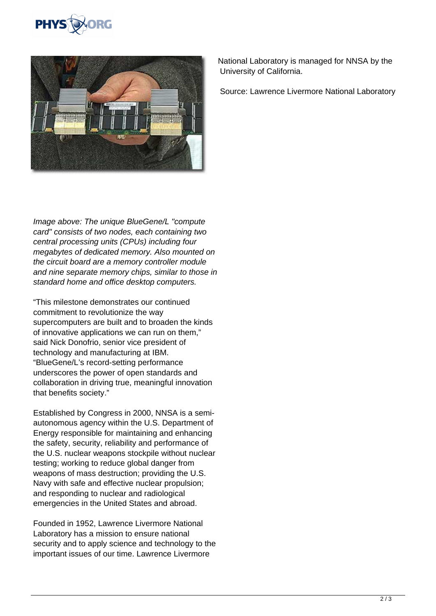



Image above: The unique BlueGene/L "compute card" consists of two nodes, each containing two central processing units (CPUs) including four megabytes of dedicated memory. Also mounted on the circuit board are a memory controller module and nine separate memory chips, similar to those in standard home and office desktop computers.

"This milestone demonstrates our continued commitment to revolutionize the way supercomputers are built and to broaden the kinds of innovative applications we can run on them," said Nick Donofrio, senior vice president of technology and manufacturing at IBM. "BlueGene/L's record-setting performance underscores the power of open standards and collaboration in driving true, meaningful innovation that benefits society."

Established by Congress in 2000, NNSA is a semiautonomous agency within the U.S. Department of Energy responsible for maintaining and enhancing the safety, security, reliability and performance of the U.S. nuclear weapons stockpile without nuclear testing; working to reduce global danger from weapons of mass destruction; providing the U.S. Navy with safe and effective nuclear propulsion; and responding to nuclear and radiological emergencies in the United States and abroad.

Founded in 1952, Lawrence Livermore National Laboratory has a mission to ensure national security and to apply science and technology to the important issues of our time. Lawrence Livermore

National Laboratory is managed for NNSA by the University of California.

Source: Lawrence Livermore National Laboratory